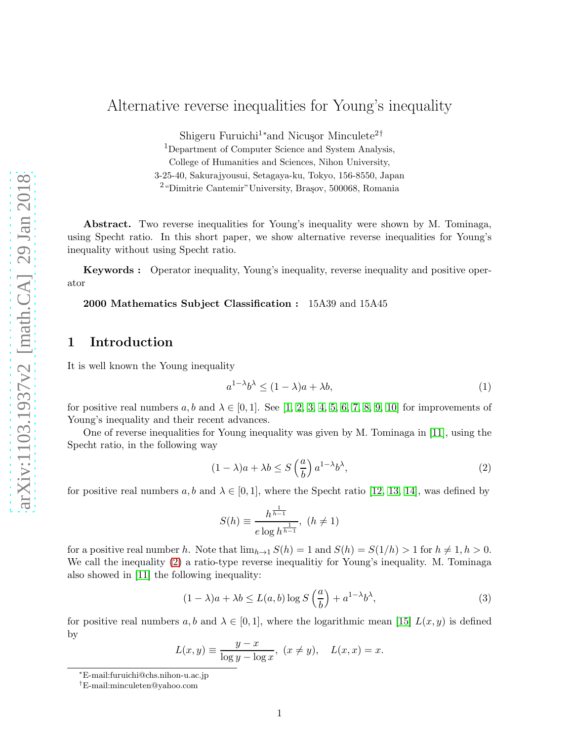# Alternative reverse inequalities for Young's inequality

Shigeru Furuichi<sup>1</sup>\*and Nicusor Minculete<sup>2†</sup>

<sup>1</sup>Department of Computer Science and System Analysis,

College of Humanities and Sciences, Nihon University,

3-25-40, Sakurajyousui, Setagaya-ku, Tokyo, 156-8550, Japan

<sup>2</sup> "Dimitrie Cantemir" University, Brașov, 500068, Romania

Abstract. Two reverse inequalities for Young's inequality were shown by M. Tominaga, using Specht ratio. In this short paper, we show alternative reverse inequalities for Young's inequality without using Specht ratio.

Keywords : Operator inequality, Young's inequality, reverse inequality and positive operator

2000 Mathematics Subject Classification : 15A39 and 15A45

# 1 Introduction

It is well known the Young inequality

$$
a^{1-\lambda}b^{\lambda} \le (1-\lambda)a + \lambda b,\tag{1}
$$

for positive real numbers  $a, b$  and  $\lambda \in [0, 1]$ . See [\[1,](#page-4-0) [2,](#page-4-1) [3,](#page-4-2) [4,](#page-4-3) [5,](#page-4-4) [6,](#page-4-5) [7,](#page-4-6) [8,](#page-4-7) [9,](#page-4-8) [10\]](#page-5-0) for improvements of Young's inequality and their recent advances.

One of reverse inequalities for Young inequality was given by M. Tominaga in [\[11\]](#page-5-1), using the Specht ratio, in the following way

<span id="page-0-0"></span>
$$
(1 - \lambda)a + \lambda b \le S\left(\frac{a}{b}\right)a^{1-\lambda}b^{\lambda},\tag{2}
$$

for positive real numbers  $a, b$  and  $\lambda \in [0, 1]$ , where the Specht ratio [\[12,](#page-5-2) [13,](#page-5-3) [14\]](#page-5-4), was defined by

$$
S(h) \equiv \frac{h^{\frac{1}{h-1}}}{e\log h^{\frac{1}{h-1}}}, \ (h \neq 1)
$$

for a positive real number h. Note that  $\lim_{h\to 1} S(h) = 1$  and  $S(h) = S(1/h) > 1$  for  $h \neq 1, h > 0$ . We call the inequality [\(2\)](#page-0-0) a ratio-type reverse inequality for Young's inequality. M. Tominaga also showed in [\[11\]](#page-5-1) the following inequality:

<span id="page-0-1"></span>
$$
(1 - \lambda)a + \lambda b \le L(a, b) \log S\left(\frac{a}{b}\right) + a^{1 - \lambda} b^{\lambda},\tag{3}
$$

for positive real numbers a, b and  $\lambda \in [0,1]$ , where the logarithmic mean [\[15\]](#page-5-5)  $L(x, y)$  is defined by

$$
L(x,y) \equiv \frac{y-x}{\log y - \log x}, \ (x \neq y), \quad L(x,x) = x.
$$

<sup>∗</sup>E-mail:furuichi@chs.nihon-u.ac.jp

<sup>†</sup>E-mail:minculeten@yahoo.com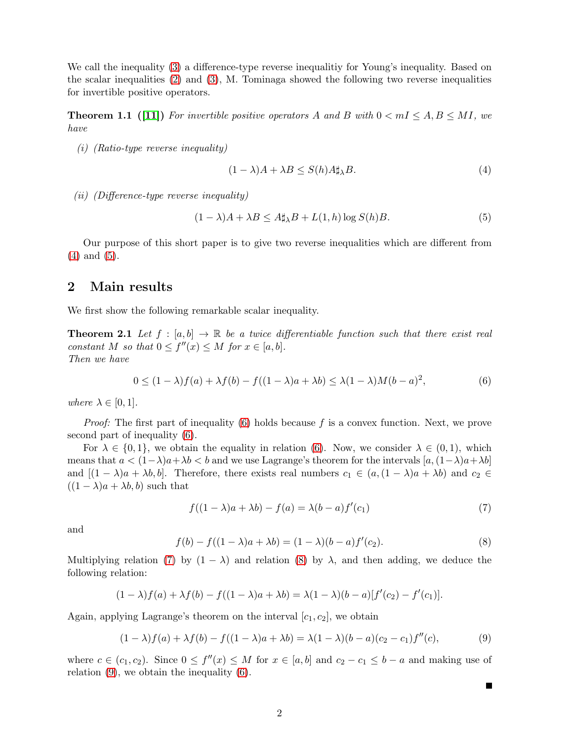We call the inequality [\(3\)](#page-0-1) a difference-type reverse inequalitiy for Young's inequality. Based on the scalar inequalities [\(2\)](#page-0-0) and [\(3\)](#page-0-1), M. Tominaga showed the following two reverse inequalities for invertible positive operators.

**Theorem 1.1** ([\[11\]](#page-5-1)) For invertible positive operators A and B with  $0 < mI \le A, B \le MI$ , we have

(i) (Ratio-type reverse inequality)

<span id="page-1-0"></span>
$$
(1 - \lambda)A + \lambda B \le S(h)A\sharp_{\lambda}B. \tag{4}
$$

(ii) (Difference-type reverse inequality)

<span id="page-1-6"></span><span id="page-1-1"></span>
$$
(1 - \lambda)A + \lambda B \le A \sharp_{\lambda} B + L(1, h) \log S(h)B. \tag{5}
$$

Our purpose of this short paper is to give two reverse inequalities which are different from [\(4\)](#page-1-0) and [\(5\)](#page-1-1).

#### 2 Main results

We first show the following remarkable scalar inequality.

**Theorem 2.1** Let  $f : [a, b] \to \mathbb{R}$  be a twice differentiable function such that there exist real constant M so that  $0 \le f''(x) \le M$  for  $x \in [a, b]$ . Then we have

<span id="page-1-2"></span>
$$
0 \le (1 - \lambda)f(a) + \lambda f(b) - f((1 - \lambda)a + \lambda b) \le \lambda (1 - \lambda)M(b - a)^2,
$$
\n(6)

where  $\lambda \in [0,1]$ .

*Proof:* The first part of inequality  $(6)$  holds because f is a convex function. Next, we prove second part of inequality [\(6\)](#page-1-2).

For  $\lambda \in \{0,1\}$ , we obtain the equality in relation [\(6\)](#page-1-2). Now, we consider  $\lambda \in (0,1)$ , which means that  $a < (1-\lambda)a+\lambda b < b$  and we use Lagrange's theorem for the intervals  $[a,(1-\lambda)a+\lambda b]$ and  $[(1 - \lambda)a + \lambda b, b]$ . Therefore, there exists real numbers  $c_1 \in (a, (1 - \lambda)a + \lambda b)$  and  $c_2 \in$  $((1 - \lambda)a + \lambda b, b)$  such that

<span id="page-1-3"></span>
$$
f((1 - \lambda)a + \lambda b) - f(a) = \lambda (b - a) f'(c_1)
$$
\n<sup>(7)</sup>

П

and

<span id="page-1-4"></span>
$$
f(b) - f((1 - \lambda)a + \lambda b) = (1 - \lambda)(b - a)f'(c_2).
$$
\n(8)

Multiplying relation [\(7\)](#page-1-3) by  $(1 - \lambda)$  and relation [\(8\)](#page-1-4) by  $\lambda$ , and then adding, we deduce the following relation:

$$
(1 - \lambda)f(a) + \lambda f(b) - f((1 - \lambda)a + \lambda b) = \lambda(1 - \lambda)(b - a)[f'(c_2) - f'(c_1)].
$$

Again, applying Lagrange's theorem on the interval  $[c_1, c_2]$ , we obtain

<span id="page-1-5"></span>
$$
(1 - \lambda)f(a) + \lambda f(b) - f((1 - \lambda)a + \lambda b) = \lambda(1 - \lambda)(b - a)(c_2 - c_1)f''(c),
$$
\n(9)

where  $c \in (c_1, c_2)$ . Since  $0 \le f''(x) \le M$  for  $x \in [a, b]$  and  $c_2 - c_1 \le b - a$  and making use of relation [\(9\)](#page-1-5), we obtain the inequality [\(6\)](#page-1-2).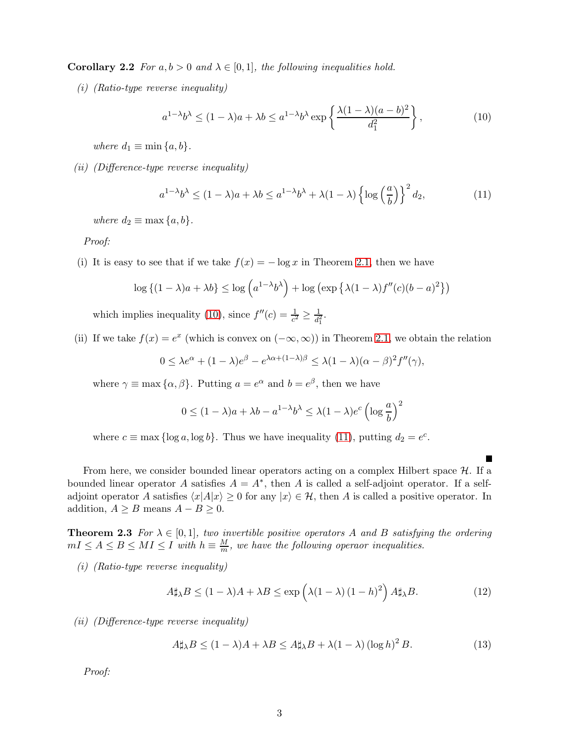**Corollary 2.2** For  $a, b > 0$  and  $\lambda \in [0, 1]$ , the following inequalities hold.

(i) (Ratio-type reverse inequality)

<span id="page-2-0"></span>
$$
a^{1-\lambda}b^{\lambda} \le (1-\lambda)a + \lambda b \le a^{1-\lambda}b^{\lambda}\exp\left\{\frac{\lambda(1-\lambda)(a-b)^2}{d_1^2}\right\},\tag{10}
$$

where  $d_1 \equiv \min\{a, b\}.$ 

(ii) (Difference-type reverse inequality)

<span id="page-2-1"></span>
$$
a^{1-\lambda}b^{\lambda} \le (1-\lambda)a + \lambda b \le a^{1-\lambda}b^{\lambda} + \lambda(1-\lambda)\left\{\log\left(\frac{a}{b}\right)\right\}^2 d_2,\tag{11}
$$

where  $d_2 \equiv \max\{a, b\}.$ 

Proof:

(i) It is easy to see that if we take  $f(x) = -\log x$  in Theorem [2.1,](#page-1-6) then we have

$$
\log \left\{ (1 - \lambda)a + \lambda b \right\} \le \log \left( a^{1 - \lambda} b^{\lambda} \right) + \log \left( \exp \left\{ \lambda (1 - \lambda) f''(c) (b - a)^2 \right\} \right)
$$

which implies inequality [\(10\)](#page-2-0), since  $f''(c) = \frac{1}{c^2} \geq \frac{1}{d_1^2}$  $\frac{1}{d_1^2}$ .

(ii) If we take  $f(x) = e^x$  (which is convex on  $(-\infty, \infty)$ ) in Theorem [2.1,](#page-1-6) we obtain the relation

$$
0 \leq \lambda e^{\alpha} + (1 - \lambda)e^{\beta} - e^{\lambda \alpha + (1 - \lambda)\beta} \leq \lambda (1 - \lambda)(\alpha - \beta)^2 f''(\gamma),
$$

where  $\gamma \equiv \max{\{\alpha, \beta\}}$ . Putting  $a = e^{\alpha}$  and  $b = e^{\beta}$ , then we have

$$
0 \le (1 - \lambda)a + \lambda b - a^{1 - \lambda}b^{\lambda} \le \lambda (1 - \lambda)e^{c} \left(\log \frac{a}{b}\right)^{2}
$$

where  $c \equiv \max \{ \log a, \log b \}$ . Thus we have inequality [\(11\)](#page-2-1), putting  $d_2 = e^c$ .

From here, we consider bounded linear operators acting on a complex Hilbert space  $H$ . If a bounded linear operator A satisfies  $A = A^*$ , then A is called a self-adjoint operator. If a selfadjoint operator A satisfies  $\langle x|A|x\rangle \ge 0$  for any  $|x\rangle \in \mathcal{H}$ , then A is called a positive operator. In addition,  $A \geq B$  means  $A - B \geq 0$ .

**Theorem 2.3** For  $\lambda \in [0,1]$ , two invertible positive operators A and B satisfying the ordering  $mI \leq A \leq B \leq MI \leq I$  with  $h \equiv \frac{M}{m}$ , we have the following operaor inequalities.

(i) (Ratio-type reverse inequality)

<span id="page-2-2"></span>
$$
A\sharp_{\lambda}B \le (1-\lambda)A + \lambda B \le \exp\left(\lambda(1-\lambda)\left(1-h\right)^2\right)A\sharp_{\lambda}B. \tag{12}
$$

(ii) (Difference-type reverse inequality)

<span id="page-2-3"></span> $A\sharp_{\lambda}B \leq (1-\lambda)A + \lambda B \leq A\sharp_{\lambda}B + \lambda(1-\lambda)\left(\log h\right)^{2}B.$  (13)

Proof: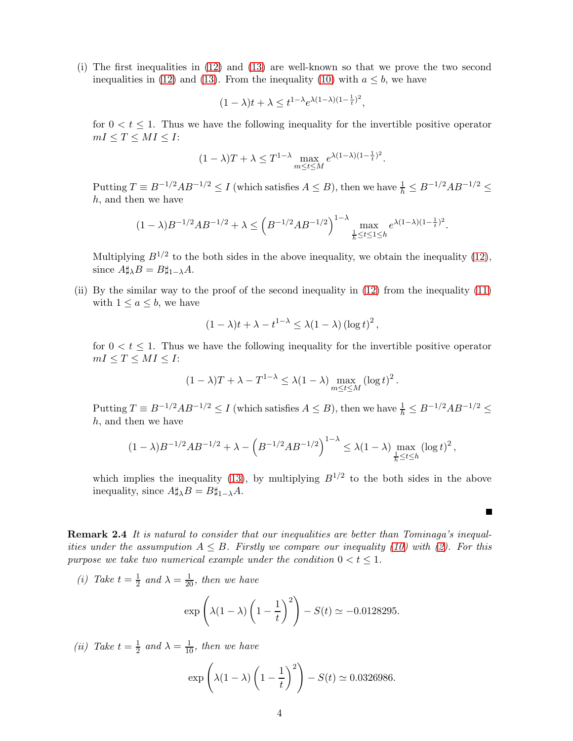(i) The first inequalities in [\(12\)](#page-2-2) and [\(13\)](#page-2-3) are well-known so that we prove the two second inequalities in [\(12\)](#page-2-2) and [\(13\)](#page-2-3). From the inequality [\(10\)](#page-2-0) with  $a \leq b$ , we have

$$
(1 - \lambda)t + \lambda \le t^{1 - \lambda} e^{\lambda (1 - \lambda)(1 - \frac{1}{t})^2},
$$

for  $0 < t < 1$ . Thus we have the following inequality for the invertible positive operator  $mI \leq T \leq MI \leq I$ :

$$
(1 - \lambda)T + \lambda \le T^{1-\lambda} \max_{m \le t \le M} e^{\lambda(1-\lambda)(1-\frac{1}{t})^2}.
$$

Putting  $T \equiv B^{-1/2}AB^{-1/2} \le I$  (which satisfies  $A \le B$ ), then we have  $\frac{1}{h} \le B^{-1/2}AB^{-1/2} \le$ h, and then we have

$$
(1 - \lambda)B^{-1/2}AB^{-1/2} + \lambda \leq \left(B^{-1/2}AB^{-1/2}\right)^{1 - \lambda} \max_{\frac{1}{h} \leq t \leq 1 \leq h} e^{\lambda(1 - \lambda)(1 - \frac{1}{t})^2}.
$$

Multiplying  $B^{1/2}$  to the both sides in the above inequality, we obtain the inequality [\(12\)](#page-2-2), since  $A \sharp_{\lambda} B = B \sharp_{1-\lambda} A$ .

(ii) By the similar way to the proof of the second inequality in [\(12\)](#page-2-2) from the inequality [\(11\)](#page-2-1) with  $1 \leq a \leq b$ , we have

$$
(1 - \lambda)t + \lambda - t^{1-\lambda} \le \lambda(1 - \lambda) (\log t)^2,
$$

for  $0 < t < 1$ . Thus we have the following inequality for the invertible positive operator  $mI \leq T \leq MI \leq I$ :

$$
(1 - \lambda)T + \lambda - T^{1-\lambda} \le \lambda (1 - \lambda) \max_{m \le t \le M} (\log t)^2.
$$

Putting  $T \equiv B^{-1/2}AB^{-1/2} \le I$  (which satisfies  $A \le B$ ), then we have  $\frac{1}{h} \le B^{-1/2}AB^{-1/2} \le$ h, and then we have

$$
(1 - \lambda)B^{-1/2}AB^{-1/2} + \lambda - \left(B^{-1/2}AB^{-1/2}\right)^{1 - \lambda} \le \lambda (1 - \lambda) \max_{\frac{1}{h} \le t \le h} \left(\log t\right)^2,
$$

which implies the inequality [\(13\)](#page-2-3), by multiplying  $B^{1/2}$  to the both sides in the above inequality, since  $A\sharp_{\lambda}B = B\sharp_{1-\lambda}A$ .

 $\blacksquare$ 

Remark 2.4 It is natural to consider that our inequalities are better than Tominaga's inequalities under the assumpution  $A \leq B$ . Firstly we compare our inequality [\(10\)](#page-2-0) with [\(2\)](#page-0-0). For this purpose we take two numerical example under the condition  $0 < t \leq 1$ .

(*i*) Take  $t=\frac{1}{2}$  $\frac{1}{2}$  and  $\lambda = \frac{1}{20}$ , then we have

$$
\exp\left(\lambda(1-\lambda)\left(1-\frac{1}{t}\right)^2\right) - S(t) \simeq -0.0128295.
$$

(*ii*) Take  $t=\frac{1}{2}$  $\frac{1}{2}$  and  $\lambda = \frac{1}{10}$ , then we have

$$
\exp\left(\lambda(1-\lambda)\left(1-\frac{1}{t}\right)^2\right) - S(t) \simeq 0.0326986.
$$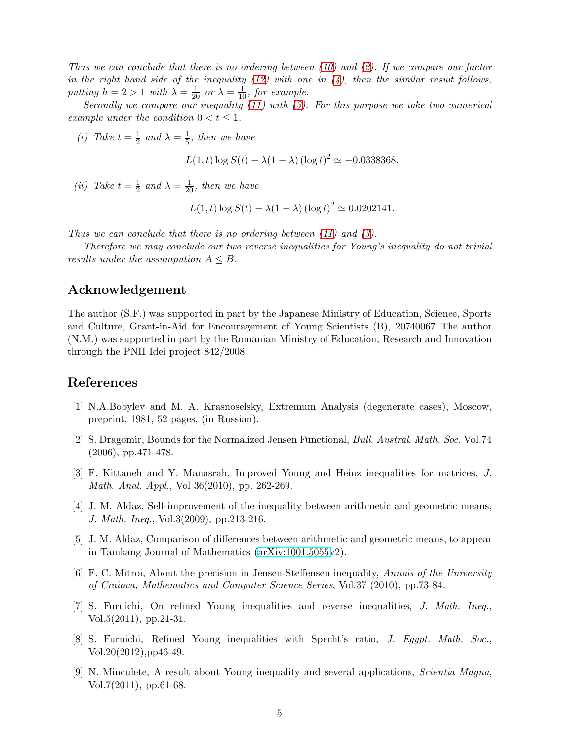Thus we can conclude that there is no ordering between  $(10)$  and  $(2)$ . If we compare our factor in the right hand side of the inequality [\(12\)](#page-2-2) with one in  $(4)$ , then the similar result follows, putting  $h = 2 > 1$  with  $\lambda = \frac{1}{20}$  or  $\lambda = \frac{1}{10}$ , for example.

Secondly we compare our inequality [\(11\)](#page-2-1) with [\(3\)](#page-0-1). For this purpose we take two numerical example under the condition  $0 < t \leq 1$ .

(*i*) Take  $t=\frac{1}{2}$  $rac{1}{2}$  and  $\lambda = \frac{1}{5}$  $\frac{1}{5}$ , then we have

 $L(1, t) \log S(t) - \lambda(1 - \lambda) (\log t)^2 \simeq -0.0338368.$ 

(*ii*) Take  $t = \frac{1}{2}$  $\frac{1}{2}$  and  $\lambda = \frac{1}{20}$ , then we have

 $L(1, t) \log S(t) - \lambda(1 - \lambda) (\log t)^2 \simeq 0.0202141.$ 

Thus we can conclude that there is no ordering between  $(11)$  and  $(3)$ .

Therefore we may conclude our two reverse inequalities for Young's inequality do not trivial results under the assumpution  $A \leq B$ .

## Acknowledgement

The author (S.F.) was supported in part by the Japanese Ministry of Education, Science, Sports and Culture, Grant-in-Aid for Encouragement of Young Scientists (B), 20740067 The author (N.M.) was supported in part by the Romanian Ministry of Education, Research and Innovation through the PNII Idei project 842/2008.

### <span id="page-4-0"></span>References

- <span id="page-4-1"></span>[1] N.A.Bobylev and M. A. Krasnoselsky, Extremum Analysis (degenerate cases), Moscow, preprint, 1981, 52 pages, (in Russian).
- [2] S. Dragomir, Bounds for the Normalized Jensen Functional, Bull. Austral. Math. Soc. Vol.74 (2006), pp.471-478.
- <span id="page-4-2"></span>[3] F. Kittaneh and Y. Manasrah, Improved Young and Heinz inequalities for matrices, J. Math. Anal. Appl., Vol 36(2010), pp. 262-269.
- <span id="page-4-3"></span>[4] J. M. Aldaz, Self-improvement of the inequality between arithmetic and geometric means, J. Math. Ineq., Vol.3(2009), pp.213-216.
- <span id="page-4-4"></span>[5] J. M. Aldaz, Comparison of differences between arithmetic and geometric means, to appear in Tamkang Journal of Mathematics [\(arXiv:1001.5055v](http://arxiv.org/abs/1001.5055)2).
- <span id="page-4-5"></span>[6] F. C. Mitroi, About the precision in Jensen-Steffensen inequality, Annals of the University of Craiova, Mathematics and Computer Science Series, Vol.37 (2010), pp.73-84.
- <span id="page-4-6"></span>[7] S. Furuichi, On refined Young inequalities and reverse inequalities, J. Math. Ineq., Vol.5(2011), pp.21-31.
- <span id="page-4-7"></span>[8] S. Furuichi, Refined Young inequalities with Specht's ratio, J. Egypt. Math. Soc., Vol.20(2012),pp46-49.
- <span id="page-4-8"></span>[9] N. Minculete, A result about Young inequality and several applications, Scientia Magna, Vol.7(2011), pp.61-68.